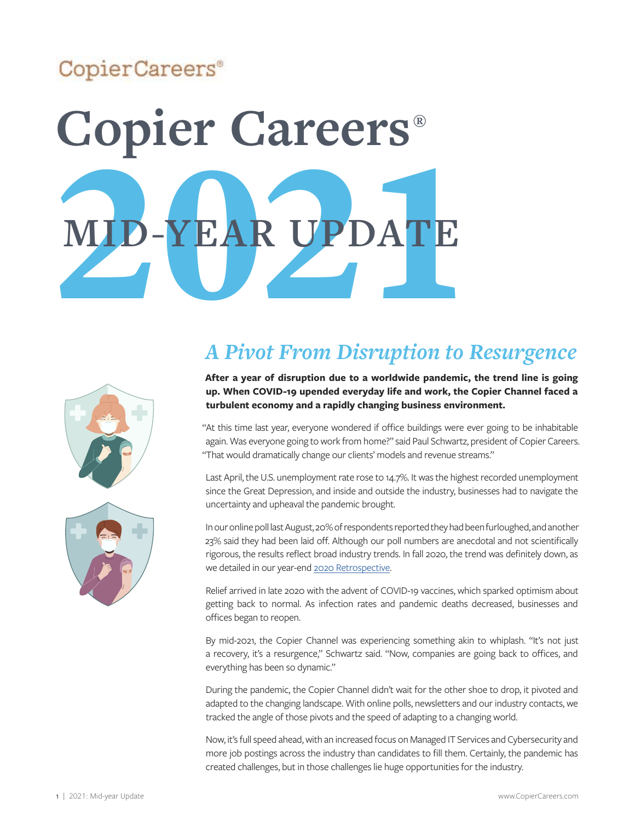## CopierCareers<sup>®</sup>

# MID-YEAR UPDATE **Copier Careers® MID-YEAR UPDATE**





# *A Pivot From Disruption to Resurgence*

**After a year of disruption due to a worldwide pandemic, the trend line is going up. When COVID-19 upended everyday life and work, the Copier Channel faced a turbulent economy and a rapidly changing business environment.** 

"At this time last year, everyone wondered if office buildings were ever going to be inhabitable again. Was everyone going to work from home?" said Paul Schwartz, president of Copier Careers. "That would dramatically change our clients' models and revenue streams."

Last April, the U.S. unemployment rate rose to 14.7%. It was the highest recorded unemployment since the Great Depression, and inside and outside the industry, businesses had to navigate the uncertainty and upheaval the pandemic brought.

In our online poll last August, 20% of respondents reported they had been furloughed, and another 23% said they had been laid off. Although our poll numbers are anecdotal and not scientifically rigorous, the results reflect broad industry trends. In fall 2020, the trend was definitely down, as we detailed in our year-end [2020 Retrospective](https://copiercareers.com/wp-content/uploads/2020/12/copier-careers-2020-retrospective..pdf).

Relief arrived in late 2020 with the advent of COVID-19 vaccines, which sparked optimism about getting back to normal. As infection rates and pandemic deaths decreased, businesses and offices began to reopen.

By mid-2021, the Copier Channel was experiencing something akin to whiplash. "It's not just a recovery, it's a resurgence," Schwartz said. "Now, companies are going back to offices, and everything has been so dynamic."

During the pandemic, the Copier Channel didn't wait for the other shoe to drop, it pivoted and adapted to the changing landscape. With online polls, newsletters and our industry contacts, we tracked the angle of those pivots and the speed of adapting to a changing world.

Now, it's full speed ahead, with an increased focus on Managed IT Services and Cybersecurity and more job postings across the industry than candidates to fill them. Certainly, the pandemic has created challenges, but in those challenges lie huge opportunities for the industry.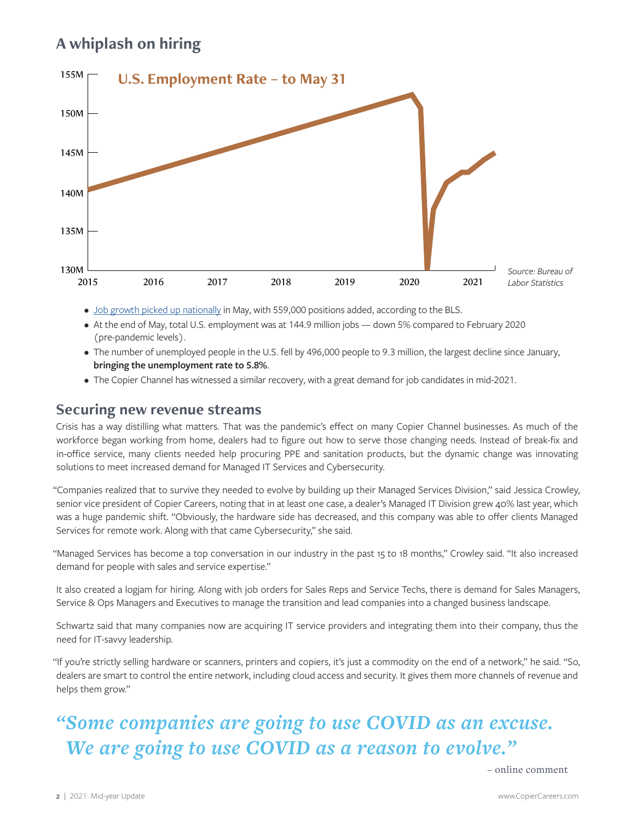## **A whiplash on hiring**



- [Job growth picked up nationally](https://usafacts.org/articles/employers-added-559000-jobs-in-may-over-double-the-growth-of-april/) in May, with 559,000 positions added, according to the BLS.
- At the end of May, total U.S. employment was at 144.9 million jobs down 5% compared to February 2020 (pre-pandemic levels).
- The number of unemployed people in the U.S. fell by 496,000 people to 9.3 million, the largest decline since January, **bringing the unemployment rate to 5.8%**.
- The Copier Channel has witnessed a similar recovery, with a great demand for job candidates in mid-2021.

#### **Securing new revenue streams**

Crisis has a way distilling what matters. That was the pandemic's effect on many Copier Channel businesses. As much of the workforce began working from home, dealers had to figure out how to serve those changing needs. Instead of break-fix and in-office service, many clients needed help procuring PPE and sanitation products, but the dynamic change was innovating solutions to meet increased demand for Managed IT Services and Cybersecurity.

"Companies realized that to survive they needed to evolve by building up their Managed Services Division," said Jessica Crowley, senior vice president of Copier Careers, noting that in at least one case, a dealer's Managed IT Division grew 40% last year, which was a huge pandemic shift. "Obviously, the hardware side has decreased, and this company was able to offer clients Managed Services for remote work. Along with that came Cybersecurity," she said.

"Managed Services has become a top conversation in our industry in the past 15 to 18 months," Crowley said. "It also increased demand for people with sales and service expertise."

It also created a logjam for hiring. Along with job orders for Sales Reps and Service Techs, there is demand for Sales Managers, Service & Ops Managers and Executives to manage the transition and lead companies into a changed business landscape.

Schwartz said that many companies now are acquiring IT service providers and integrating them into their company, thus the need for IT-savvy leadership.

"If you're strictly selling hardware or scanners, printers and copiers, it's just a commodity on the end of a network," he said. "So, dealers are smart to control the entire network, including cloud access and security. It gives them more channels of revenue and helps them grow."

## *"Some companies are going to use COVID as an excuse. We are going to use COVID as a reason to evolve."*

– online comment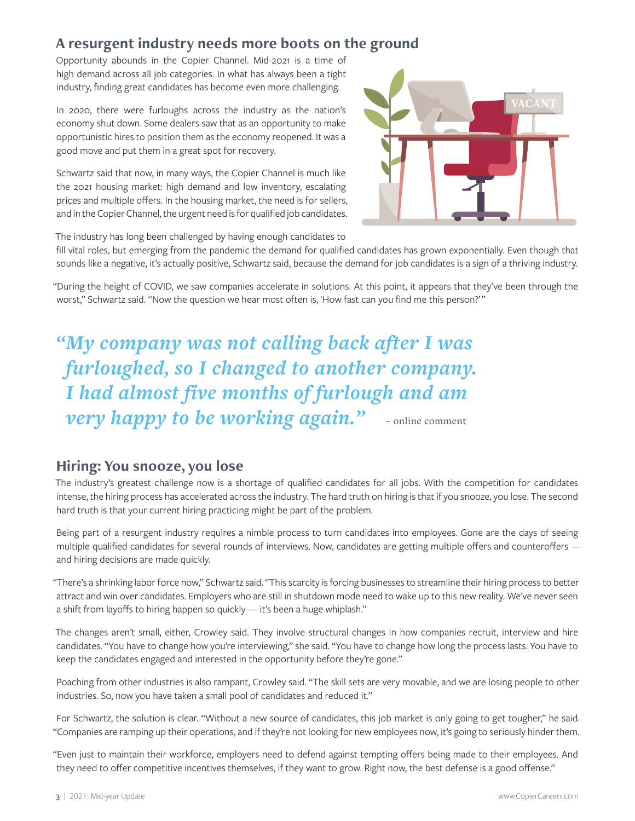#### **A resurgent industry needs more boots on the ground**

Opportunity abounds in the Copier Channel. Mid-2021 is a time of high demand across all job categories. In what has always been a tight industry, finding great candidates has become even more challenging.

In 2020, there were furloughs across the industry as the nation's economy shut down. Some dealers saw that as an opportunity to make opportunistic hires to position them as the economy reopened. It was a good move and put them in a great spot for recovery.

Schwartz said that now, in many ways, the Copier Channel is much like the 2021 housing market: high demand and low inventory, escalating prices and multiple offers. In the housing market, the need is for sellers, and in the Copier Channel, the urgent need is for qualified job candidates.



The industry has long been challenged by having enough candidates to

fill vital roles, but emerging from the pandemic the demand for qualified candidates has grown exponentially. Even though that sounds like a negative, it's actually positive, Schwartz said, because the demand for job candidates is a sign of a thriving industry.

"During the height of COVID, we saw companies accelerate in solutions. At this point, it appears that they've been through the worst," Schwartz said. "Now the question we hear most often is, 'How fast can you find me this person?'"

*"My company was not calling back after I was furloughed, so I changed to another company. I had almost five months of furlough and am very happy to be working again.*" - online comment

#### **Hiring: You snooze, you lose**

The industry's greatest challenge now is a shortage of qualified candidates for all jobs. With the competition for candidates intense, the hiring process has accelerated across the industry. The hard truth on hiring is that if you snooze, you lose. The second hard truth is that your current hiring practicing might be part of the problem.

Being part of a resurgent industry requires a nimble process to turn candidates into employees. Gone are the days of seeing multiple qualified candidates for several rounds of interviews. Now, candidates are getting multiple offers and counteroffers and hiring decisions are made quickly.

"There's a shrinking labor force now," Schwartz said. "This scarcity is forcing businesses to streamline their hiring process to better attract and win over candidates. Employers who are still in shutdown mode need to wake up to this new reality. We've never seen a shift from layoffs to hiring happen so quickly — it's been a huge whiplash."

The changes aren't small, either, Crowley said. They involve structural changes in how companies recruit, interview and hire candidates. "You have to change how you're interviewing," she said. "You have to change how long the process lasts. You have to keep the candidates engaged and interested in the opportunity before they're gone."

Poaching from other industries is also rampant, Crowley said. "The skill sets are very movable, and we are losing people to other industries. So, now you have taken a small pool of candidates and reduced it."

For Schwartz, the solution is clear. "Without a new source of candidates, this job market is only going to get tougher," he said. "Companies are ramping up their operations, and if they're not looking for new employees now, it's going to seriously hinder them.

"Even just to maintain their workforce, employers need to defend against tempting offers being made to their employees. And they need to offer competitive incentives themselves, if they want to grow. Right now, the best defense is a good offense."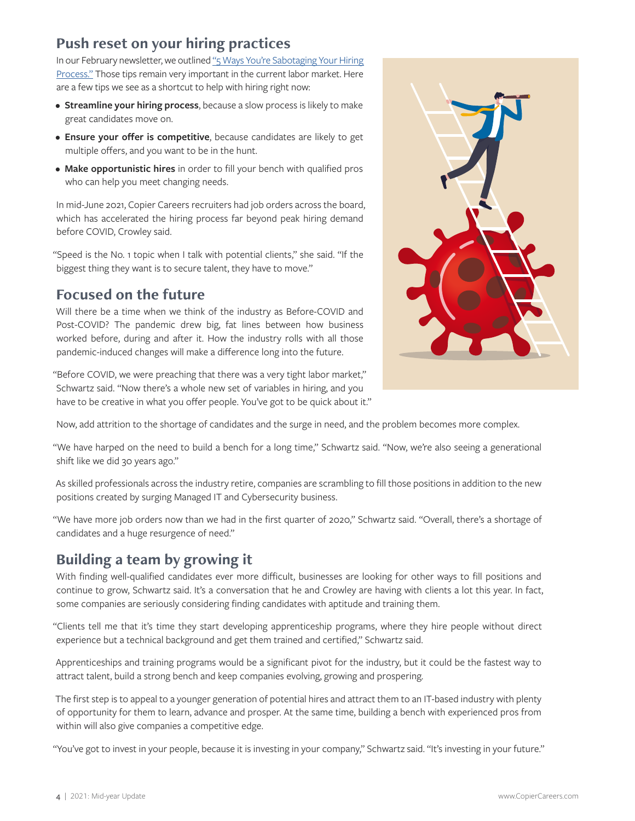#### **Push reset on your hiring practices**

In our February newsletter, we outlined ["5 Ways You're Sabotaging Your Hiring](https://copiercareers.com/employers/hiring/the-top-5-ways-youre-sabotaging-your-hiring-process/)  [Process."](https://copiercareers.com/employers/hiring/the-top-5-ways-youre-sabotaging-your-hiring-process/) Those tips remain very important in the current labor market. Here are a few tips we see as a shortcut to help with hiring right now:

- **Streamline your hiring process**, because a slow process is likely to make great candidates move on.
- **Ensure your offer is competitive**, because candidates are likely to get multiple offers, and you want to be in the hunt.
- **Make opportunistic hires** in order to fill your bench with qualified pros who can help you meet changing needs.

In mid-June 2021, Copier Careers recruiters had job orders across the board, which has accelerated the hiring process far beyond peak hiring demand before COVID, Crowley said.

"Speed is the No. 1 topic when I talk with potential clients," she said. "If the biggest thing they want is to secure talent, they have to move."

#### **Focused on the future**

Will there be a time when we think of the industry as Before-COVID and Post-COVID? The pandemic drew big, fat lines between how business worked before, during and after it. How the industry rolls with all those pandemic-induced changes will make a difference long into the future.

"Before COVID, we were preaching that there was a very tight labor market," Schwartz said. "Now there's a whole new set of variables in hiring, and you have to be creative in what you offer people. You've got to be quick about it."



Now, add attrition to the shortage of candidates and the surge in need, and the problem becomes more complex.

"We have harped on the need to build a bench for a long time," Schwartz said. "Now, we're also seeing a generational shift like we did 30 years ago."

As skilled professionals across the industry retire, companies are scrambling to fill those positions in addition to the new positions created by surging Managed IT and Cybersecurity business.

"We have more job orders now than we had in the first quarter of 2020," Schwartz said. "Overall, there's a shortage of candidates and a huge resurgence of need."

## **Building a team by growing it**

With finding well-qualified candidates ever more difficult, businesses are looking for other ways to fill positions and continue to grow, Schwartz said. It's a conversation that he and Crowley are having with clients a lot this year. In fact, some companies are seriously considering finding candidates with aptitude and training them.

"Clients tell me that it's time they start developing apprenticeship programs, where they hire people without direct experience but a technical background and get them trained and certified," Schwartz said.

Apprenticeships and training programs would be a significant pivot for the industry, but it could be the fastest way to attract talent, build a strong bench and keep companies evolving, growing and prospering.

The first step is to appeal to a younger generation of potential hires and attract them to an IT-based industry with plenty of opportunity for them to learn, advance and prosper. At the same time, building a bench with experienced pros from within will also give companies a competitive edge.

"You've got to invest in your people, because it is investing in your company," Schwartz said. "It's investing in your future."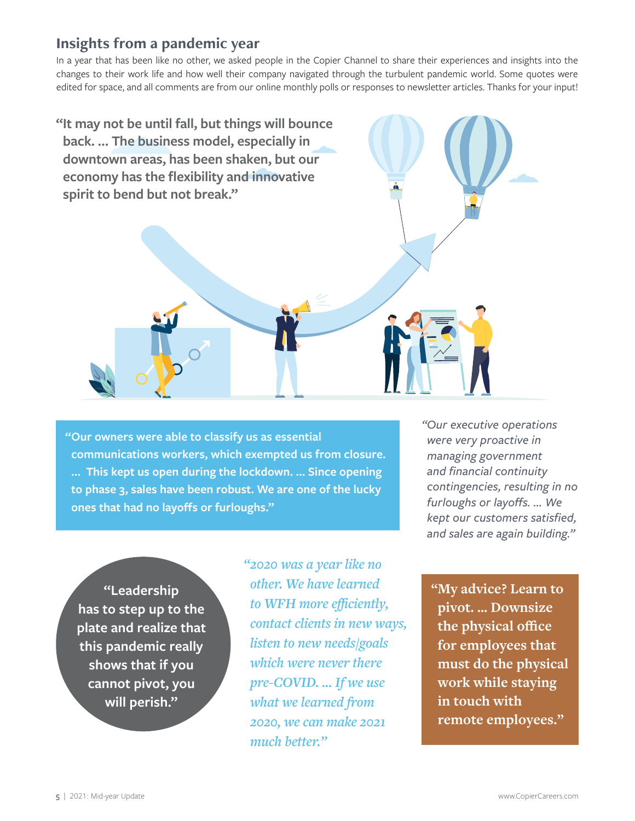#### **Insights from a pandemic year**

In a year that has been like no other, we asked people in the Copier Channel to share their experiences and insights into the changes to their work life and how well their company navigated through the turbulent pandemic world. Some quotes were edited for space, and all comments are from our online monthly polls or responses to newsletter articles. Thanks for your input!



**"Our owners were able to classify us as essential communications workers, which exempted us from closure. … This kept us open during the lockdown. … Since opening to phase 3, sales have been robust. We are one of the lucky ones that had no layoffs or furloughs."**

**" "Leadership has to step up to the plate and realize that this pandemic really shows that if you cannot pivot, you will perish."**

*"2020 was a year like no other. We have learned to WFH more efficiently, contact clients in new ways, listen to new needs/goals which were never there pre-COVID. … If we use what we learned from 2020, we can make 2021 much better."*

*"Our executive operations were very proactive in managing government and financial continuity contingencies, resulting in no furloughs or layoffs. … We kept our customers satisfied, and sales are again building."*

**"My advice? Learn to pivot. … Downsize the physical office for employees that must do the physical work while staying in touch with remote employees."**